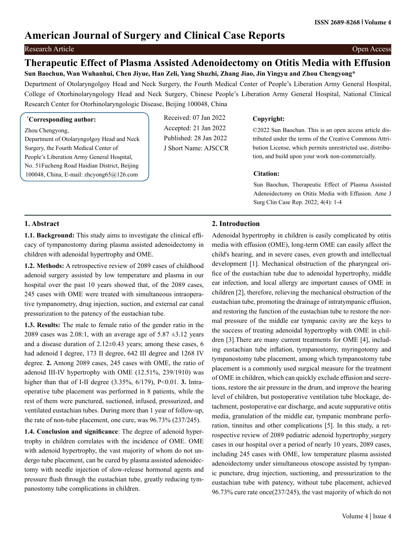# **American Journal of Surgery and Clinical Case Reports**

## Research Article Open Access

## **Therapeutic Effect of Plasma Assisted Adenoidectomy on Otitis Media with Effusion Sun Baochun, Wan Wuhanhui, Chen Jiyue, Han Zeli, Yang Shuzhi, Zhang Jiao, Jin Yingyu and Zhou Chengyong\***

Department of Otolaryngolgoy Head and Neck Surgery, the Fourth Medical Center of People's Liberation Army General Hospital, College of Otorhinolaryngology Head and Neck Surgery, Chinese People's Liberation Army General Hospital, National Clinical Research Center for Otorhinolaryngologic Disease, Beijing 100048, China

#### **\* Corresponding author:**

Zhou Chengyong,

Department of Otolaryngolgoy Head and Neck Surgery, the Fourth Medical Center of People's Liberation Army General Hospital, No. 51Fucheng Road Haidian District, Beijing 100048, China, E-mail: zhcyong65@126.com

Received: 07 Jan 2022 Accepted: 21 Jan 2022 Published: 28 Jan 2022 J Short Name: AJSCCR

### **Copyright:**

©2022 Sun Baochun. This is an open access article distributed under the terms of the Creative Commons Attribution License, which permits unrestricted use, distribution, and build upon your work non-commercially.

#### **Citation:**

Sun Baochun, Therapeutic Effect of Plasma Assisted Adenoidectomy on Otitis Media with Effusion. Ame J Surg Clin Case Rep. 2022; 4(4): 1-4

## **1. Abstract**

**1.1. Background:** This study aims to investigate the clinical efficacy of tympanostomy during plasma assisted adenoidectomy in children with adenoidal hypertrophy and OME.

**1.2. Methods:** A retrospective review of 2089 cases of childhood adenoid surgery assisted by low temperature and plasma in our hospital over the past 10 years showed that, of the 2089 cases, 245 cases with OME were treated with simultaneous intraoperative tympanometry, drug injection, suction, and external ear canal pressurization to the patency of the eustachian tube.

**1.3. Results:** The male to female ratio of the gender ratio in the 2089 cases was 2.08:1, with an average age of  $5.87 \pm 3.12$  years and a disease duration of  $2.12 \pm 0.43$  years; among these cases, 6 had adenoid I degree, 173 II degree, 642 III degree and 1268 IV degree. **2.** Among 2089 cases, 245 cases with OME, the ratio of adenoid III-IV hypertrophy with OME (12.51%, 239/1910) was higher than that of I-II degree (3.35%, 6/179), P<0.01. **3.** Intraoperative tube placement was performed in 8 patients, while the rest of them were punctured, suctioned, infused, pressurized, and ventilated eustachian tubes. During more than 1 year of follow-up, the rate of non-tube placement, one cure, was 96.73% (237/245).

**1.4. Conclusion and significance**: The degree of adenoid hypertrophy in children correlates with the incidence of OME. OME with adenoid hypertrophy, the vast majority of whom do not undergo tube placement, can be cured by plasma assisted adenoidectomy with needle injection of slow-release hormonal agents and pressure flush through the eustachian tube, greatly reducing tympanostomy tube complications in children.

## **2. Introduction**

Adenoidal hypertrophy in children is easily complicated by otitis media with effusion (OME), long-term OME can easily affect the child's hearing, and in severe cases, even growth and intellectual development [1]. Mechanical obstruction of the pharyngeal orifice of the eustachian tube due to adenoidal hypertrophy, middle ear infection, and local allergy are important causes of OME in children [2], therefore, relieving the mechanical obstruction of the eustachian tube, promoting the drainage of intratympanic effusion, and restoring the function of the eustachian tube to restore the normal pressure of the middle ear tympanic cavity are the keys to the success of treating adenoidal hypertrophy with OME in children [3].There are many current treatments for OME [4], including eustachian tube inflation, tympanostomy, myringotomy and tympanostomy tube placement, among which tympanostomy tube placement is a commonly used surgical measure for the treatment of OME in children, which can quickly exclude effusion and secretions, restore the air pressure in the drum, and improve the hearing level of children, but postoperative ventilation tube blockage, detachment, postoperative ear discharge, and acute suppurative otitis media, granulation of the middle ear, tympanic membrane perforation, tinnitus and other complications [5]. In this study, a retrospective review of 2089 pediatric adenoid hypertrophy surgery cases in our hospital over a period of nearly 10 years, 2089 cases, including 245 cases with OME, low temperature plasma assisted adenoidectomy under simultaneous otoscope assisted by tympanic puncture, drug injection, suctioning, and pressurization to the eustachian tube with patency, without tube placement, achieved 96.73% cure rate once(237/245), the vast majority of which do not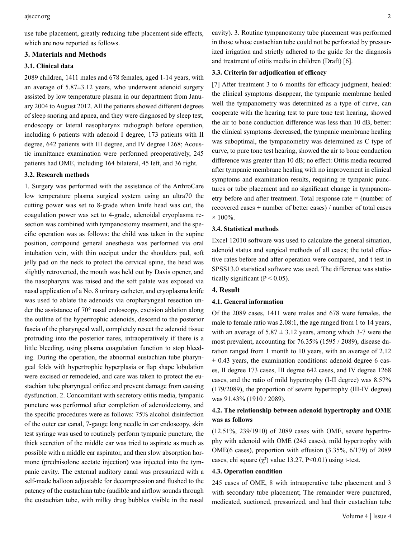use tube placement, greatly reducing tube placement side effects, which are now reported as follows.

## **3. Materials and Methods**

## **3.1. Clinical data**

2089 children, 1411 males and 678 females, aged 1-14 years, with an average of  $5.87\pm3.12$  years, who underwent adenoid surgery assisted by low temperature plasma in our department from January 2004 to August 2012. All the patients showed different degrees of sleep snoring and apnea, and they were diagnosed by sleep test, endoscopy or lateral nasopharynx radiograph before operation, including 6 patients with adenoid I degree, 173 patients with II degree, 642 patients with III degree, and IV degree 1268; Acoustic immittance examination were performed preoperatively, 245 patients had OME, including 164 bilateral, 45 left, and 36 right.

#### **3.2. Research methods**

1. Surgery was performed with the assistance of the ArthroCare low temperature plasma surgical system using an ultra70 the cutting power was set to 8-grade when knife head was cut, the coagulation power was set to 4-grade, adenoidal cryoplasma resection was combined with tympanostomy treatment, and the specific operation was as follows: the child was taken in the supine position, compound general anesthesia was performed via oral intubation vein, with thin occiput under the shoulders pad, soft jelly pad on the neck to protect the cervical spine, the head was slightly retroverted, the mouth was held out by Davis opener, and the nasopharynx was raised and the soft palate was exposed via nasal application of a No. 8 urinary catheter, and cryoplasma knife was used to ablate the adenoids via oropharyngeal resection under the assistance of 70° nasal endoscopy, excision ablation along the outline of the hypertrophic adenoids, descend to the posterior fascia of the pharyngeal wall, completely resect the adenoid tissue protruding into the posterior nares, intraoperatively if there is a little bleeding, using plasma coagulation function to stop bleeding. During the operation, the abnormal eustachian tube pharyngeal folds with hypertrophic hyperplasia or flap shape lobulation were excised or remodeled, and care was taken to protect the eustachian tube pharyngeal orifice and prevent damage from causing dysfunction. 2. Concomitant with secretory otitis media, tympanic puncture was performed after completion of adenoidectomy, and the specific procedures were as follows: 75% alcohol disinfection of the outer ear canal, 7-gauge long needle in ear endoscopy, skin test syringe was used to routinely perform tympanic puncture, the thick secretion of the middle ear was tried to aspirate as much as possible with a middle ear aspirator, and then slow absorption hormone (prednisolone acetate injection) was injected into the tympanic cavity. The external auditory canal was pressurized with a self-made balloon adjustable for decompression and flushed to the patency of the eustachian tube (audible and airflow sounds through the eustachian tube, with milky drug bubbles visible in the nasal

cavity). 3. Routine tympanostomy tube placement was performed in those whose eustachian tube could not be perforated by pressurized irrigation and strictly adhered to the guide for the diagnosis and treatment of otitis media in children (Draft) [6].

#### **3.3. Criteria for adjudication of efficacy**

[7] After treatment 3 to 6 months for efficacy judgment, healed: the clinical symptoms disappear, the tympanic membrane healed well the tympanometry was determined as a type of curve, can cooperate with the hearing test to pure tone test hearing, showed the air to bone conduction difference was less than 10 dB, better: the clinical symptoms decreased, the tympanic membrane healing was suboptimal, the tympanometry was determined as C type of curve, to pure tone test hearing, showed the air to bone conduction difference was greater than 10 dB; no effect: Otitis media recurred after tympanic membrane healing with no improvement in clinical symptoms and examination results, requiring re tympanic punctures or tube placement and no significant change in tympanometry before and after treatment. Total response rate = (number of recovered cases + number of better cases) / number of total cases  $\times 100\%$ .

#### **3.4. Statistical methods**

Excel 12010 software was used to calculate the general situation, adenoid status and surgical methods of all cases; the total effective rates before and after operation were compared, and t test in SPSS13.0 statistical software was used. The difference was statistically significant ( $P < 0.05$ ).

#### **4. Result**

#### **4.1. General information**

Of the 2089 cases, 1411 were males and 678 were females, the male to female ratio was 2.08:1, the age ranged from 1 to 14 years, with an average of  $5.87 \pm 3.12$  years, among which 3-7 were the most prevalent, accounting for 76.35% (1595 / 2089), disease duration ranged from 1 month to 10 years, with an average of 2.12  $\pm$  0.43 years, the examination conditions: adenoid degree 6 cases, II degree 173 cases, III degree 642 cases, and IV degree 1268 cases, and the ratio of mild hypertrophy (I-II degree) was 8.57% (179/2089), the proportion of severe hypertrophy (III-IV degree) was 91.43% (1910 / 2089).

## **4.2. The relationship between adenoid hypertrophy and OME was as follows**

(12.51%, 239/1910) of 2089 cases with OME, severe hypertrophy with adenoid with OME (245 cases), mild hypertrophy with OME(6 cases), proportion with effusion (3.35%, 6/179) of 2089 cases, chi square  $(\chi^2)$  value 13.27, P<0.01) using t-test.

#### **4.3. Operation condition**

245 cases of OME, 8 with intraoperative tube placement and 3 with secondary tube placement; The remainder were punctured, medicated, suctioned, pressurized, and had their eustachian tube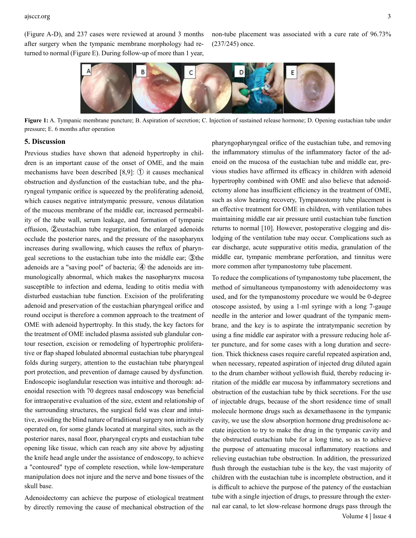(Figure A-D), and 237 cases were reviewed at around 3 months after surgery when the tympanic membrane morphology had returned to normal (Figure E). During follow-up of more than 1 year,

non-tube placement was associated with a cure rate of 96.73% (237/245) once.



**Figure 1:** A. Tympanic membrane puncture; B. Aspiration of secretion; C. Injection of sustained release hormone; D. Opening eustachian tube under pressure; E. 6 months after operation

#### **5. Discussion**

Previous studies have shown that adenoid hypertrophy in children is an important cause of the onset of OME, and the main mechanisms have been described [8,9]: ① it causes mechanical obstruction and dysfunction of the eustachian tube, and the pharyngeal tympanic orifice is squeezed by the proliferating adenoid, which causes negative intratympanic pressure, venous dilatation of the mucous membrane of the middle ear, increased permeability of the tube wall, serum leakage, and formation of tympanic effusion, ②eustachian tube regurgitation, the enlarged adenoids occlude the posterior nares, and the pressure of the nasopharynx increases during swallowing, which causes the reflux of pharyngeal secretions to the eustachian tube into the middle ear; ③the adenoids are a "saving pool" of bacteria; ④ the adenoids are immunologically abnormal, which makes the nasopharynx mucosa susceptible to infection and edema, leading to otitis media with disturbed eustachian tube function. Excision of the proliferating adenoid and preservation of the eustachian pharyngeal orifice and round occiput is therefore a common approach to the treatment of OME with adenoid hypertrophy. In this study, the key factors for the treatment of OME included plasma assisted sub glandular contour resection, excision or remodeling of hypertrophic proliferative or flap shaped lobulated abnormal eustachian tube pharyngeal folds during surgery, attention to the eustachian tube pharyngeal port protection, and prevention of damage caused by dysfunction. Endoscopic isoglandular resection was intuitive and thorough: adenoidal resection with 70 degrees nasal endoscopy was beneficial for intraoperative evaluation of the size, extent and relationship of the surrounding structures, the surgical field was clear and intuitive, avoiding the blind nature of traditional surgery non intuitively operated on, for some glands located at marginal sites, such as the posterior nares, nasal floor, pharyngeal crypts and eustachian tube opening like tissue, which can reach any site above by adjusting the knife head angle under the assistance of endoscopy, to achieve a "contoured" type of complete resection, while low-temperature manipulation does not injure and the nerve and bone tissues of the skull base.

Adenoidectomy can achieve the purpose of etiological treatment by directly removing the cause of mechanical obstruction of the

pharyngopharyngeal orifice of the eustachian tube, and removing the inflammatory stimulus of the inflammatory factor of the adenoid on the mucosa of the eustachian tube and middle ear, previous studies have affirmed its efficacy in children with adenoid hypertrophy combined with OME and also believe that adenoidectomy alone has insufficient efficiency in the treatment of OME, such as slow hearing recovery, Tympanostomy tube placement is an effective treatment for OME in children, with ventilation tubes maintaining middle ear air pressure until eustachian tube function returns to normal [10]. However, postoperative clogging and dislodging of the ventilation tube may occur. Complications such as ear discharge, acute suppurative otitis media, granulation of the middle ear, tympanic membrane perforation, and tinnitus were more common after tympanostomy tube placement.

To reduce the complications of tympanostomy tube placement, the method of simultaneous tympanostomy with adenoidectomy was used, and for the tympanostomy procedure we would be 0-degree otoscope assisted, by using a 1-ml syringe with a long 7-gauge needle in the anterior and lower quadrant of the tympanic membrane, and the key is to aspirate the intratympanic secretion by using a fine middle ear aspirator with a pressure reducing hole after puncture, and for some cases with a long duration and secretion. Thick thickness cases require careful repeated aspiration and, when necessary, repeated aspiration of injected drug diluted again to the drum chamber without yellowish fluid, thereby reducing irritation of the middle ear mucosa by inflammatory secretions and obstruction of the eustachian tube by thick secretions. For the use of injectable drugs, because of the short residence time of small molecule hormone drugs such as dexamethasone in the tympanic cavity, we use the slow absorption hormone drug prednisolone acetate injection to try to make the drug in the tympanic cavity and the obstructed eustachian tube for a long time, so as to achieve the purpose of attenuating mucosal inflammatory reactions and relieving eustachian tube obstruction. In addition, the pressurized flush through the eustachian tube is the key, the vast majority of children with the eustachian tube is incomplete obstruction, and it is difficult to achieve the purpose of the patency of the eustachian tube with a single injection of drugs, to pressure through the external ear canal, to let slow-release hormone drugs pass through the